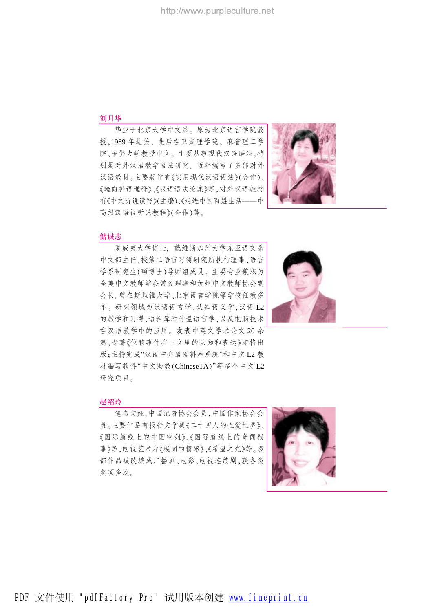## 刘月华

毕业于北京大学中文系。原为北京语言学院教 授,1989年赴美,先后在卫斯理学院、麻省理工学 院、哈佛大学教授中文。主要从事现代汉语语法,特 别是对外汉语教学语法研究。近年编写了多部对外 汉语教材。主要著作有《实用现代汉语语法》(合作)、 《趋向补语通释》、《汉语语法论集》等,对外汉语教材 有《中文听说读写》(主编)、《走进中国百姓生活——中 高级汉语视听说教程》(合作)等。



## 储诚志

夏威夷大学博士, 戴维斯加州大学东亚语文系 中文部主任,校第二语言习得研究所执行理事,语言 学系研究生(硕博士)导师组成员。主要专业兼职为 全美中文教师学会常务理事和加州中文教师协会副 会长。曾在斯坦福大学、北京语言学院等学校任教多 年。研究领域为汉语语言学, 认知语义学, 汉语 L2 的教学和习得,语料库和计量语言学,以及电脑技术 在汉语教学中的应用。发表中英文学术论文 20余 篇,专著《位移事件在中文里的认知和表达》即将出 版;主持完成"汉语中介语语料库系统"和中文 L2 教 材编写软件"中文助教(ChineseTA)"等多个中文 L2 研究项目。



## 赵绍玲

笔名向娅,中国记者协会会员,中国作家协会会 员。主要作品有报告文学集《二十四人的性爱世界》、 《国际航线上的奇闻秘 事》等,电视艺术片《凝固的情感》、《希望之光》等。多 部作品被改编成广播剧、电影、电视连续剧,获各类 奖项多次。

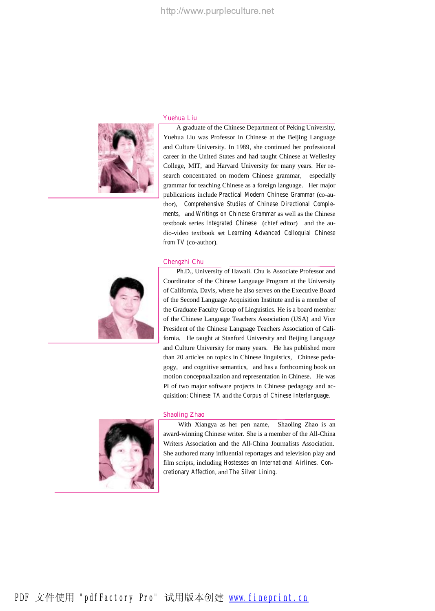

Yuehua Liu

A graduate of the Chinese Department of Peking University, Yuehua Liu was Professor in Chinese at the Beijing Language and Culture University. In 1989, she continued her professional career in the United States and had taught Chinese at Wellesley College, MIT, and Harvard University for many years. Her research concentrated on modern Chinese grammar, especially grammar for teaching Chinese as a foreign language. Her major publications include Practical Modern Chinese Grammar (co-author), Comprehensive Studies of Chinese Directional Complements, and Writings on Chinese Grammar as well as the Chinese textbook series Integrated Chinese (chief editor) and the audio-video textbook set Learning Advanced Colloquial Chinese from TV (co-author).

### Chengzhi Chu



Ph.D., University of Hawaii. Chu is Associate Professor and Coordinator of the Chinese Language Program at the University of California, Davis, where he also serves on the Executive Board of the Second Language Acquisition Institute and is a member of the Graduate Faculty Group of Linguistics. He is a board member of the Chinese Language Teachers Association (USA) and Vice President of the Chinese Language Teachers Association of California. He taught at Stanford University and Beijing Language and Culture University for many years. He has published more than 20 articles on topics in Chinese linguistics, Chinese pedagogy, and cognitive semantics, and has a forthcoming book on motion conceptualization and representation in Chinese. He was PI of two major software projects in Chinese pedagogy and acquisition: Chinese TA and the Corpus of Chinese Interlanguage.



#### Shaoling Zhao

With Xiangya as her pen name, Shaoling Zhao is an award-winning Chinese writer. She is a member of the All-China Writers Association and the All-China Journalists Association. She authored many influential reportages and television play and film scripts, including Hostesses on International Airlines, Concretionary Affection, and The Silver Lining.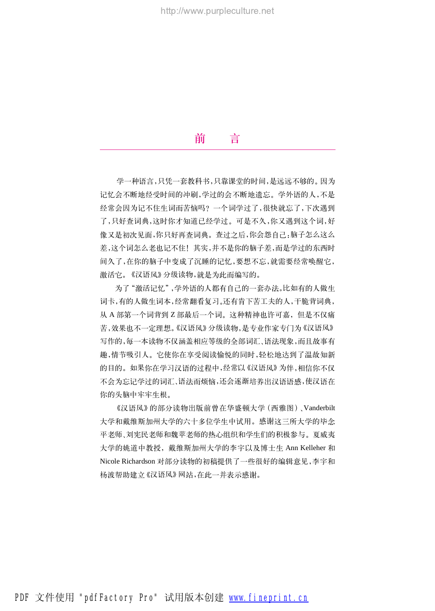# 前 言

学一种语言,只凭一套教科书,只靠课堂的时间,是远远不够的。因为 记忆会不断地经受时间的冲刷,学过的会不断地遗忘。学外语的人,不是 经常会因为记不住生词而苦恼吗?一个词学过了,很快就忘了,下次遇到 了,只好查词典,这时你才知道已经学过。可是不久,你又遇到这个词,好 像又是初次见面,你只好再查词典。查过之后,你会怨自己:脑子怎么这么 差,这个词怎么老也记不住!其实,并不是你的脑子差,而是学过的东西时 间久了,在你的脑子中变成了沉睡的记忆,要想不忘,就需要经常唤醒它, 激活它。《汉语风》分级读物,就是为此而编写的。

为了"激活记忆",学外语的人都有自己的一套办法。比如有的人做生 词卡,有的人做生词本,经常翻看复习。还有肯下苦工夫的人,干脆背词典, 从 A 部第一个词背到 Z 部最后一个词。这种精神也许可嘉, 但是不仅痛 苦,效果也不一定理想。《汉语风》分级读物,是专业作家专门为《汉语风》 写作的,每一本读物不仅涵盖相应等级的全部词汇、语法现象,而且故事有 趣,情节吸引人。它使你在享受阅读愉悦的同时,轻松地达到了温故知新 的目的。如果你在学习汉语的过程中,经常以《汉语风》为伴,相信你不仅 不会为忘记学过的词汇、语法而烦恼,还会逐渐培养出汉语语感,使汉语在 你的头脑中牢牢生根。

《汉语风》的部分读物出版前曾在华盛顿大学(西雅图)、Vanderbilt 大学和戴维斯加州大学的六十多位学生中试用。感谢这三所大学的毕念 平老师、刘宪民老师和魏苹老师的热心组织和学生们的积极参与。夏威夷 大学的姚道中教授,戴维斯加州大学的李宇以及博士生 Ann Kelleher 和 Nicole Richardson 对部分读物的初稿提供了一些很好的编辑意见,李宇和 杨波帮助建立《汉语风》网站,在此一并表示感谢。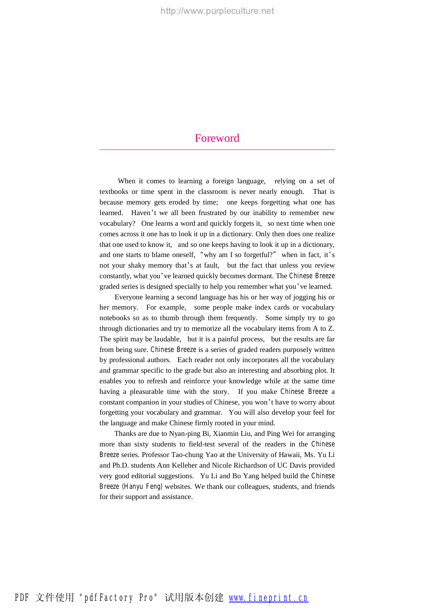# Foreword

When it comes to learning a foreign language, relying on a set of textbooks or time spent in the classroom is never nearly enough. That is because memory gets eroded by time; one keeps forgetting what one has learned. Haven't we all been frustrated by our inability to remember new vocabulary? One learns a word and quickly forgets it, so next time when one comes across it one has to look it up in a dictionary. Only then does one realize that one used to know it, and so one keeps having to look it up in a dictionary, and one starts to blame oneself, "why am I so forgetful?" when in fact, it's not your shaky memory that's at fault, but the fact that unless you review constantly, what you've learned quickly becomes dormant. The Chinese Breeze graded series is designed specially to help you remember what you've learned.

Everyone learning a second language has his or her way of jogging his or her memory. For example, some people make index cards or vocabulary notebooks so as to thumb through them frequently. Some simply try to go through dictionaries and try to memorize all the vocabulary items from A to Z. The spirit may be laudable, but it is a painful process, but the results are far from being sure. Chinese Breeze is a series of graded readers purposely written by professional authors. Each reader not only incorporates all the vocabulary and grammar specific to the grade but also an interesting and absorbing plot. It enables you to refresh and reinforce your knowledge while at the same time having a pleasurable time with the story. If you make Chinese Breeze a constant companion in your studies of Chinese, you won't have to worry about forgetting your vocabulary and grammar. You will also develop your feel for the language and make Chinese firmly rooted in your mind.

Thanks are due to Nyan-ping Bi, Xianmin Liu, and Ping Wei for arranging more than sixty students to field-test several of the readers in the Chinese Breeze series. Professor Tao-chung Yao at the University of Hawaii, Ms. Yu Li and Ph.D. students Ann Kelleher and Nicole Richardson of UC Davis provided very good editorial suggestions. Yu Li and Bo Yang helped build the Chinese Breeze (Hanyu Feng) websites. We thank our colleagues, students, and friends for their support and assistance.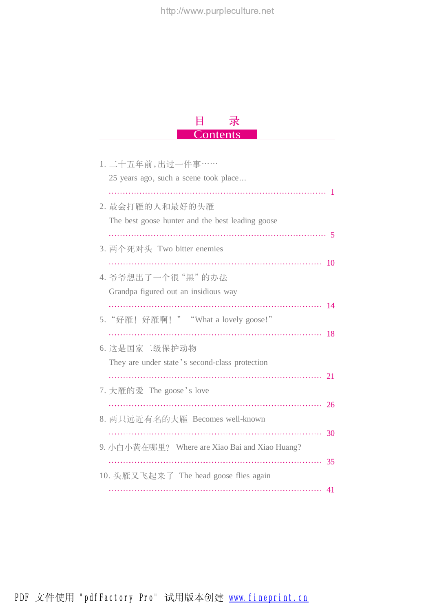# 目 录 **Contents**

| 1. 二十五年前,出过一件事……                                 |
|--------------------------------------------------|
| 25 years ago, such a scene took place            |
|                                                  |
| 2. 最会打雁的人和最好的头雁                                  |
| The best goose hunter and the best leading goose |
|                                                  |
| 3. 两个死对头 Two bitter enemies                      |
|                                                  |
| 4. 爷爷想出了一个很"黑"的办法                                |
| Grandpa figured out an insidious way             |
|                                                  |
| 5. "好雁! 好雁啊!" "What a lovely goose!"             |
|                                                  |
| 6. 这是国家二级保护动物                                    |
| They are under state's second-class protection   |
|                                                  |
| 7. 大雁的爱 The goose's love                         |
|                                                  |
| 8. 两只远近有名的大雁 Becomes well-known                  |
|                                                  |
| 9. 小白小黄在哪里? Where are Xiao Bai and Xiao Huang?   |
|                                                  |
| 10. 头雁又飞起来了 The head goose flies again           |
|                                                  |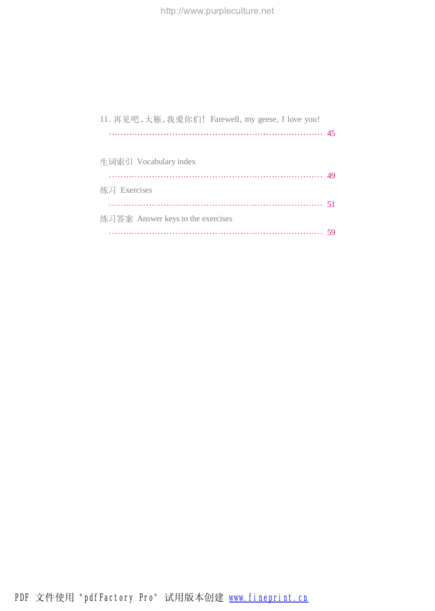| 11. 再见吧, 大雁, 我爱你们! Farewell, my geese, I love you! |  |
|----------------------------------------------------|--|
|                                                    |  |
|                                                    |  |
| 生词索引 Vocabulary index                              |  |
|                                                    |  |
| 练习 Exercises                                       |  |
|                                                    |  |
| 练习答案 Answer keys to the exercises                  |  |
|                                                    |  |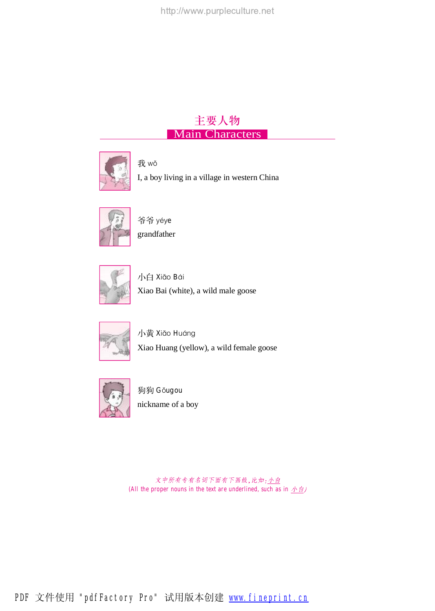# 主要人物 Main Characters



我 wǒ

I, a boy living in a village in western China



爷爷 yéye grandfather



小白 Xiǎo Bái Xiao Bai (white), a wild male goose



小黄 Xiǎo Huáng Xiao Huang (yellow), a wild female goose



狗狗 Gǒugou nickname of a boy

文中所有专有名词下面有下画线,比如:小白 (All the proper nouns in the text are underlined, such as in  $\sqrt{\frac{k}{2}}$ )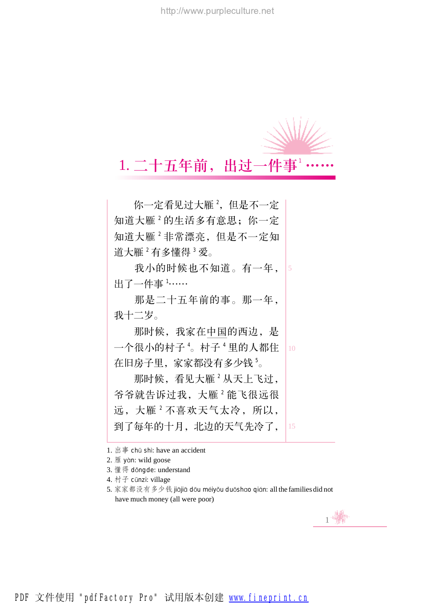

你一定看见过大雁2. 但是不一定 知道大雁<sup>2</sup>的生活多有意思;你一定 知道大雁<sup>2</sup>非常漂亮, 但是不一定知 道大雁<sup>2</sup>有多懂得<sup>3</sup>爱。 我小的时候也不知道。有一年, 出了一件事 1…… 那是二十五年前的事。那一年, 我十二岁。 那时候, 我家在中国的西边, 是 一个很小的村子4。村子4里的人都住 在旧房子里,家家都没有多少钱 5。 那时候,看见大雁 2 从天上飞过, 爷爷就告诉过我,大雁2 能飞很远很 远,大雁 2 不喜欢天气太冷,所以, 到了每年的十月, 北边的天气先冷了, 5 10 15

1. 出事 chū shì: have an accident

- 3. 懂得 dǒngde: understand
- 4. 村子 cūnzi: village
- 5. 家家都没有多少钱 jiājiā dōu méivǒu duōshao qián: all the families did not have much money (all were poor)

14触

<sup>2.</sup> 雁 yàn: wild goose